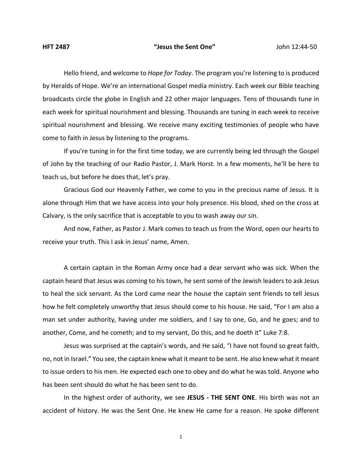Hello friend, and welcome to *Hope for Today*. The program you're listening to is produced by Heralds of Hope. We're an international Gospel media ministry. Each week our Bible teaching broadcasts circle the globe in English and 22 other major languages. Tens of thousands tune in each week for spiritual nourishment and blessing. Thousands are tuning in each week to receive spiritual nourishment and blessing. We receive many exciting testimonies of people who have come to faith in Jesus by listening to the programs.

If you're tuning in for the first time today, we are currently being led through the Gospel of John by the teaching of our Radio Pastor, J. Mark Horst. In a few moments, he'll be here to teach us, but before he does that, let's pray.

Gracious God our Heavenly Father, we come to you in the precious name of Jesus. It is alone through Him that we have access into your holy presence. His blood, shed on the cross at Calvary, is the only sacrifice that is acceptable to you to wash away our sin.

And now, Father, as Pastor J. Mark comes to teach us from the Word, open our hearts to receive your truth. This I ask in Jesus' name, Amen.

A certain captain in the Roman Army once had a dear servant who was sick. When the captain heard that Jesus was coming to his town, he sent some of the Jewish leaders to ask Jesus to heal the sick servant. As the Lord came near the house the captain sent friends to tell Jesus how he felt completely unworthy that Jesus should come to his house. He said, "For I am also a man set under authority, having under me soldiers, and I say to one, Go, and he goes; and to another, Come, and he cometh; and to my servant, Do this, and he doeth it" Luke 7:8.

Jesus was surprised at the captain's words, and He said, "I have not found so great faith, no, not in Israel." You see, the captain knew what it meant to be sent. He also knew what it meant to issue orders to his men. He expected each one to obey and do what he was told. Anyone who has been sent should do what he has been sent to do.

In the highest order of authority, we see **JESUS - THE SENT ONE**. His birth was not an accident of history. He was the Sent One. He knew He came for a reason. He spoke different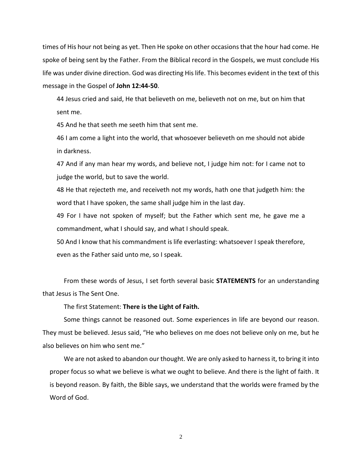times of His hour not being as yet. Then He spoke on other occasions that the hour had come. He spoke of being sent by the Father. From the Biblical record in the Gospels, we must conclude His life was under divine direction. God was directing His life. This becomes evident in the text of this message in the Gospel of **John 12:44-50**.

44 Jesus cried and said, He that believeth on me, believeth not on me, but on him that sent me.

45 And he that seeth me seeth him that sent me.

46 I am come a light into the world, that whosoever believeth on me should not abide in darkness.

47 And if any man hear my words, and believe not, I judge him not: for I came not to judge the world, but to save the world.

48 He that rejecteth me, and receiveth not my words, hath one that judgeth him: the word that I have spoken, the same shall judge him in the last day.

49 For I have not spoken of myself; but the Father which sent me, he gave me a commandment, what I should say, and what I should speak.

50 And I know that his commandment is life everlasting: whatsoever I speak therefore, even as the Father said unto me, so I speak.

From these words of Jesus, I set forth several basic **STATEMENTS** for an understanding that Jesus is The Sent One.

The first Statement: **There is the Light of Faith.**

Some things cannot be reasoned out. Some experiences in life are beyond our reason. They must be believed. Jesus said, "He who believes on me does not believe only on me, but he also believes on him who sent me."

We are not asked to abandon our thought. We are only asked to harness it, to bring it into proper focus so what we believe is what we ought to believe. And there is the light of faith. It is beyond reason. By faith, the Bible says, we understand that the worlds were framed by the Word of God.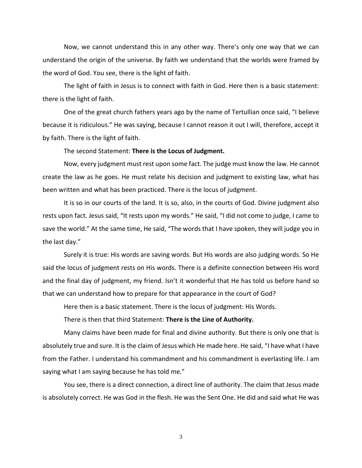Now, we cannot understand this in any other way. There's only one way that we can understand the origin of the universe. By faith we understand that the worlds were framed by the word of God. You see, there is the light of faith.

The light of faith in Jesus is to connect with faith in God. Here then is a basic statement: there is the light of faith.

One of the great church fathers years ago by the name of Tertullian once said, "I believe because it is ridiculous." He was saying, because I cannot reason it out I will, therefore, accept it by faith. There is the light of faith.

## The second Statement: **There is the Locus of Judgment.**

Now, every judgment must rest upon some fact. The judge must know the law. He cannot create the law as he goes. He must relate his decision and judgment to existing law, what has been written and what has been practiced. There is the locus of judgment.

It is so in our courts of the land. It is so, also, in the courts of God. Divine judgment also rests upon fact. Jesus said, "It rests upon my words." He said, "I did not come to judge, I came to save the world." At the same time, He said, "The words that I have spoken, they will judge you in the last day."

Surely it is true: His words are saving words. But His words are also judging words. So He said the locus of judgment rests on His words. There is a definite connection between His word and the final day of judgment, my friend. Isn't it wonderful that He has told us before hand so that we can understand how to prepare for that appearance in the court of God?

Here then is a basic statement. There is the locus of judgment: His Words.

There is then that third Statement: **There is the Line of Authority.**

Many claims have been made for final and divine authority. But there is only one that is absolutely true and sure. It is the claim of Jesus which He made here. He said, "I have what I have from the Father. I understand his commandment and his commandment is everlasting life. I am saying what I am saying because he has told me."

You see, there is a direct connection, a direct line of authority. The claim that Jesus made is absolutely correct. He was God in the flesh. He was the Sent One. He did and said what He was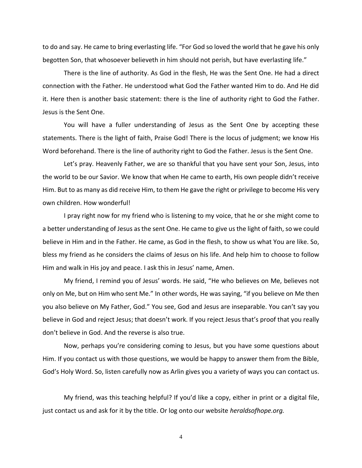to do and say. He came to bring everlasting life. "For God so loved the world that he gave his only begotten Son, that whosoever believeth in him should not perish, but have everlasting life."

There is the line of authority. As God in the flesh, He was the Sent One. He had a direct connection with the Father. He understood what God the Father wanted Him to do. And He did it. Here then is another basic statement: there is the line of authority right to God the Father. Jesus is the Sent One.

You will have a fuller understanding of Jesus as the Sent One by accepting these statements. There is the light of faith, Praise God! There is the locus of judgment; we know His Word beforehand. There is the line of authority right to God the Father. Jesus is the Sent One.

Let's pray. Heavenly Father, we are so thankful that you have sent your Son, Jesus, into the world to be our Savior. We know that when He came to earth, His own people didn't receive Him. But to as many as did receive Him, to them He gave the right or privilege to become His very own children. How wonderful!

I pray right now for my friend who is listening to my voice, that he or she might come to a better understanding of Jesus as the sent One. He came to give us the light of faith, so we could believe in Him and in the Father. He came, as God in the flesh, to show us what You are like. So, bless my friend as he considers the claims of Jesus on his life. And help him to choose to follow Him and walk in His joy and peace. I ask this in Jesus' name, Amen.

My friend, I remind you of Jesus' words. He said, "He who believes on Me, believes not only on Me, but on Him who sent Me." In other words, He was saying, "if you believe on Me then you also believe on My Father, God." You see, God and Jesus are inseparable. You can't say you believe in God and reject Jesus; that doesn't work. If you reject Jesus that's proof that you really don't believe in God. And the reverse is also true.

Now, perhaps you're considering coming to Jesus, but you have some questions about Him. If you contact us with those questions, we would be happy to answer them from the Bible, God's Holy Word. So, listen carefully now as Arlin gives you a variety of ways you can contact us.

My friend, was this teaching helpful? If you'd like a copy, either in print or a digital file, just contact us and ask for it by the title. Or log onto our website *heraldsofhope.org.*